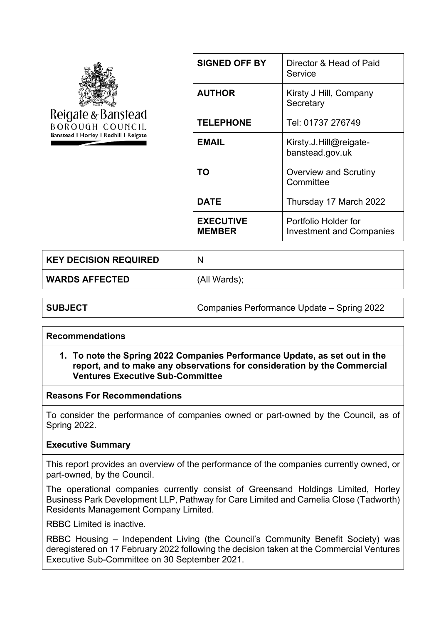

| <b>SIGNED OFF BY</b>              | Director & Head of Paid<br>Service                      |
|-----------------------------------|---------------------------------------------------------|
| <b>AUTHOR</b>                     | Kirsty J Hill, Company<br>Secretary                     |
| <b>TELEPHONE</b>                  | Tel: 01737 276749                                       |
| EMAIL                             | Kirsty.J.Hill@reigate-<br>banstead.gov.uk               |
| TΟ                                | <b>Overview and Scrutiny</b><br>Committee               |
| DATE                              | Thursday 17 March 2022                                  |
| <b>EXECUTIVE</b><br><b>MEMBER</b> | Portfolio Holder for<br><b>Investment and Companies</b> |

| <b>KEY DECISION REQUIRED</b> | N            |
|------------------------------|--------------|
| WARDS AFFECTED               | (All Wards); |

| Companies Performance Update - Spring 2022<br><b>SUBJECT</b> |  |
|--------------------------------------------------------------|--|
|--------------------------------------------------------------|--|

# **Recommendations**

#### **1. To note the Spring 2022 Companies Performance Update, as set out in the report, and to make any observations for consideration by the Commercial Ventures Executive Sub-Committee**

#### **Reasons For Recommendations**

To consider the performance of companies owned or part-owned by the Council, as of Spring 2022.

#### **Executive Summary**

This report provides an overview of the performance of the companies currently owned, or part-owned, by the Council.

The operational companies currently consist of Greensand Holdings Limited, Horley Business Park Development LLP, Pathway for Care Limited and Camelia Close (Tadworth) Residents Management Company Limited.

RBBC Limited is inactive.

RBBC Housing – Independent Living (the Council's Community Benefit Society) was deregistered on 17 February 2022 following the decision taken at the Commercial Ventures Executive Sub-Committee on 30 September 2021.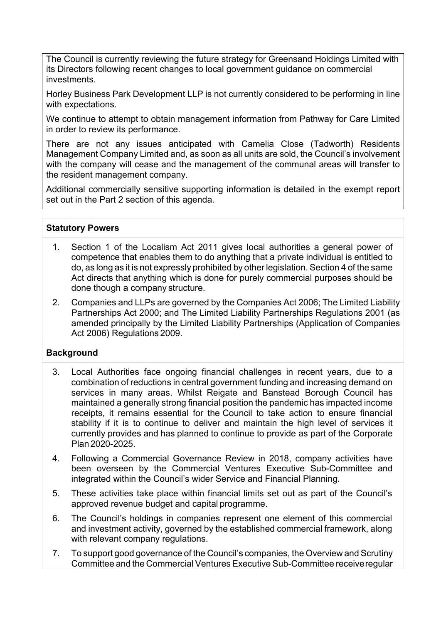The Council is currently reviewing the future strategy for Greensand Holdings Limited with its Directors following recent changes to local government guidance on commercial investments.

Horley Business Park Development LLP is not currently considered to be performing in line with expectations.

We continue to attempt to obtain management information from Pathway for Care Limited in order to review its performance.

There are not any issues anticipated with Camelia Close (Tadworth) Residents Management Company Limited and, as soon as all units are sold, the Council's involvement with the company will cease and the management of the communal areas will transfer to the resident management company.

Additional commercially sensitive supporting information is detailed in the exempt report set out in the Part 2 section of this agenda.

### **Statutory Powers**

- 1. Section 1 of the Localism Act 2011 gives local authorities a general power of competence that enables them to do anything that a private individual is entitled to do, as long as it is not expressly prohibited by other legislation. Section 4 of the same Act directs that anything which is done for purely commercial purposes should be done though a company structure.
- 2. Companies and LLPs are governed by the Companies Act 2006; The Limited Liability Partnerships Act 2000; and The Limited Liability Partnerships Regulations 2001 (as amended principally by the Limited Liability Partnerships (Application of Companies Act 2006) Regulations 2009.

### **Background**

- 3. Local Authorities face ongoing financial challenges in recent years, due to a combination of reductions in central government funding and increasing demand on services in many areas. Whilst Reigate and Banstead Borough Council has maintained a generally strong financial position the pandemic has impacted income receipts, it remains essential for the Council to take action to ensure financial stability if it is to continue to deliver and maintain the high level of services it currently provides and has planned to continue to provide as part of the Corporate Plan 2020-2025.
- 4. Following a Commercial Governance Review in 2018, company activities have been overseen by the Commercial Ventures Executive Sub-Committee and integrated within the Council's wider Service and Financial Planning.
- 5. These activities take place within financial limits set out as part of the Council's approved revenue budget and capital programme.
- 6. The Council's holdings in companies represent one element of this commercial and investment activity, governed by the established commercial framework, along with relevant company regulations.
- 7. To support good governance of the Council's companies, the Overview and Scrutiny Committee and the Commercial Ventures Executive Sub-Committee receiveregular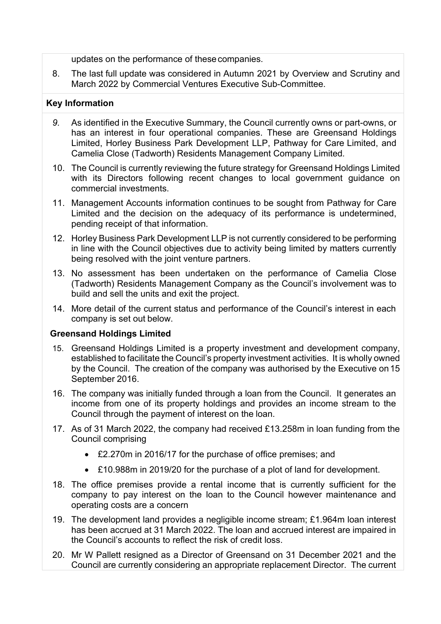updates on the performance of thesecompanies.

8. The last full update was considered in Autumn 2021 by Overview and Scrutiny and March 2022 by Commercial Ventures Executive Sub-Committee.

# **Key Information**

- *9.* As identified in the Executive Summary, the Council currently owns or part-owns, or has an interest in four operational companies. These are Greensand Holdings Limited, Horley Business Park Development LLP, Pathway for Care Limited, and Camelia Close (Tadworth) Residents Management Company Limited*.*
- 10. The Council is currently reviewing the future strategy for Greensand Holdings Limited with its Directors following recent changes to local government guidance on commercial investments.
- 11. Management Accounts information continues to be sought from Pathway for Care Limited and the decision on the adequacy of its performance is undetermined, pending receipt of that information.
- 12. Horley Business Park Development LLP is not currently considered to be performing in line with the Council objectives due to activity being limited by matters currently being resolved with the joint venture partners.
- 13. No assessment has been undertaken on the performance of Camelia Close (Tadworth) Residents Management Company as the Council's involvement was to build and sell the units and exit the project.
- 14. More detail of the current status and performance of the Council's interest in each company is set out below.

### **Greensand Holdings Limited**

- 15. Greensand Holdings Limited is a property investment and development company, established to facilitate the Council's property investment activities. It is wholly owned by the Council. The creation of the company was authorised by the Executive on15 September 2016.
- 16. The company was initially funded through a loan from the Council. It generates an income from one of its property holdings and provides an income stream to the Council through the payment of interest on the loan.
- 17. As of 31 March 2022, the company had received £13.258m in loan funding from the Council comprising
	- £2.270m in 2016/17 for the purchase of office premises; and
	- £10.988m in 2019/20 for the purchase of a plot of land for development.
- 18. The office premises provide a rental income that is currently sufficient for the company to pay interest on the loan to the Council however maintenance and operating costs are a concern
- 19. The development land provides a negligible income stream; £1.964m loan interest has been accrued at 31 March 2022. The loan and accrued interest are impaired in the Council's accounts to reflect the risk of credit loss.
- 20. Mr W Pallett resigned as a Director of Greensand on 31 December 2021 and the Council are currently considering an appropriate replacement Director. The current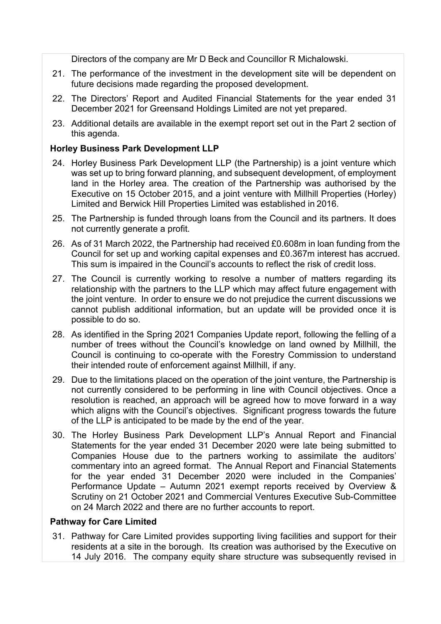Directors of the company are Mr D Beck and Councillor R Michalowski.

- 21. The performance of the investment in the development site will be dependent on future decisions made regarding the proposed development.
- 22. The Directors' Report and Audited Financial Statements for the year ended 31 December 2021 for Greensand Holdings Limited are not yet prepared.
- 23. Additional details are available in the exempt report set out in the Part 2 section of this agenda.

# **Horley Business Park Development LLP**

- 24. Horley Business Park Development LLP (the Partnership) is a joint venture which was set up to bring forward planning, and subsequent development, of employment land in the Horley area. The creation of the Partnership was authorised by the Executive on 15 October 2015, and a joint venture with Millhill Properties (Horley) Limited and Berwick Hill Properties Limited was established in 2016.
- 25. The Partnership is funded through loans from the Council and its partners. It does not currently generate a profit.
- 26. As of 31 March 2022, the Partnership had received £0.608m in loan funding from the Council for set up and working capital expenses and £0.367m interest has accrued. This sum is impaired in the Council's accounts to reflect the risk of credit loss.
- 27. The Council is currently working to resolve a number of matters regarding its relationship with the partners to the LLP which may affect future engagement with the joint venture. In order to ensure we do not prejudice the current discussions we cannot publish additional information, but an update will be provided once it is possible to do so.
- 28. As identified in the Spring 2021 Companies Update report, following the felling of a number of trees without the Council's knowledge on land owned by Millhill, the Council is continuing to co-operate with the Forestry Commission to understand their intended route of enforcement against Millhill, if any.
- 29. Due to the limitations placed on the operation of the joint venture, the Partnership is not currently considered to be performing in line with Council objectives. Once a resolution is reached, an approach will be agreed how to move forward in a way which aligns with the Council's objectives. Significant progress towards the future of the LLP is anticipated to be made by the end of the year.
- 30. The Horley Business Park Development LLP's Annual Report and Financial Statements for the year ended 31 December 2020 were late being submitted to Companies House due to the partners working to assimilate the auditors' commentary into an agreed format. The Annual Report and Financial Statements for the year ended 31 December 2020 were included in the Companies' Performance Update – Autumn 2021 exempt reports received by Overview & Scrutiny on 21 October 2021 and Commercial Ventures Executive Sub-Committee on 24 March 2022 and there are no further accounts to report.

### **Pathway for Care Limited**

31. Pathway for Care Limited provides supporting living facilities and support for their residents at a site in the borough. Its creation was authorised by the Executive on 14 July 2016. The company equity share structure was subsequently revised in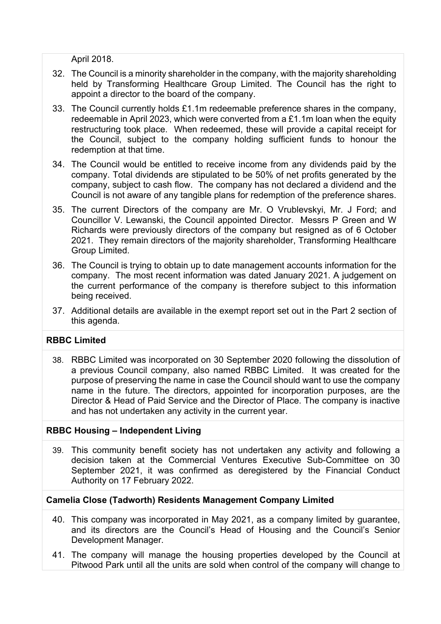April 2018.

- 32. The Council is a minority shareholder in the company, with the majority shareholding held by Transforming Healthcare Group Limited. The Council has the right to appoint a director to the board of the company.
- 33. The Council currently holds £1.1m redeemable preference shares in the company, redeemable in April 2023, which were converted from a £1.1m loan when the equity restructuring took place. When redeemed, these will provide a capital receipt for the Council, subject to the company holding sufficient funds to honour the redemption at that time.
- 34. The Council would be entitled to receive income from any dividends paid by the company. Total dividends are stipulated to be 50% of net profits generated by the company, subject to cash flow. The company has not declared a dividend and the Council is not aware of any tangible plans for redemption of the preference shares.
- 35. The current Directors of the company are Mr. O Vrublevskyi, Mr. J Ford; and Councillor V. Lewanski, the Council appointed Director. Messrs P Green and W Richards were previously directors of the company but resigned as of 6 October 2021. They remain directors of the majority shareholder, Transforming Healthcare Group Limited.
- 36. The Council is trying to obtain up to date management accounts information for the company. The most recent information was dated January 2021. A judgement on the current performance of the company is therefore subject to this information being received.
- 37. Additional details are available in the exempt report set out in the Part 2 section of this agenda.

# **RBBC Limited**

38. RBBC Limited was incorporated on 30 September 2020 following the dissolution of a previous Council company, also named RBBC Limited. It was created for the purpose of preserving the name in case the Council should want to use the company name in the future. The directors, appointed for incorporation purposes, are the Director & Head of Paid Service and the Director of Place. The company is inactive and has not undertaken any activity in the current year.

### **RBBC Housing – Independent Living**

39. This community benefit society has not undertaken any activity and following a decision taken at the Commercial Ventures Executive Sub-Committee on 30 September 2021, it was confirmed as deregistered by the Financial Conduct Authority on 17 February 2022.

### **Camelia Close (Tadworth) Residents Management Company Limited**

- 40. This company was incorporated in May 2021, as a company limited by guarantee, and its directors are the Council's Head of Housing and the Council's Senior Development Manager.
- 41. The company will manage the housing properties developed by the Council at Pitwood Park until all the units are sold when control of the company will change to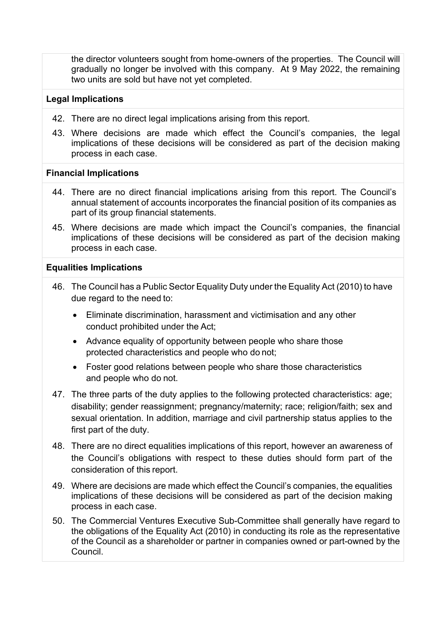the director volunteers sought from home-owners of the properties. The Council will gradually no longer be involved with this company. At 9 May 2022, the remaining two units are sold but have not yet completed.

### **Legal Implications**

- 42. There are no direct legal implications arising from this report.
- 43. Where decisions are made which effect the Council's companies, the legal implications of these decisions will be considered as part of the decision making process in each case.

# **Financial Implications**

- 44. There are no direct financial implications arising from this report. The Council's annual statement of accounts incorporates the financial position of its companies as part of its group financial statements.
- 45. Where decisions are made which impact the Council's companies, the financial implications of these decisions will be considered as part of the decision making process in each case.

# **Equalities Implications**

- 46. The Council has a Public Sector Equality Duty under the Equality Act (2010) to have due regard to the need to:
	- Eliminate discrimination, harassment and victimisation and any other conduct prohibited under the Act;
	- Advance equality of opportunity between people who share those protected characteristics and people who do not;
	- Foster good relations between people who share those characteristics and people who do not.
- 47. The three parts of the duty applies to the following protected characteristics: age; disability; gender reassignment; pregnancy/maternity; race; religion/faith; sex and sexual orientation. In addition, marriage and civil partnership status applies to the first part of the duty.
- 48. There are no direct equalities implications of this report, however an awareness of the Council's obligations with respect to these duties should form part of the consideration of this report.
- 49. Where are decisions are made which effect the Council's companies, the equalities implications of these decisions will be considered as part of the decision making process in each case.
- 50. The Commercial Ventures Executive Sub-Committee shall generally have regard to the obligations of the Equality Act (2010) in conducting its role as the representative of the Council as a shareholder or partner in companies owned or part-owned by the Council.